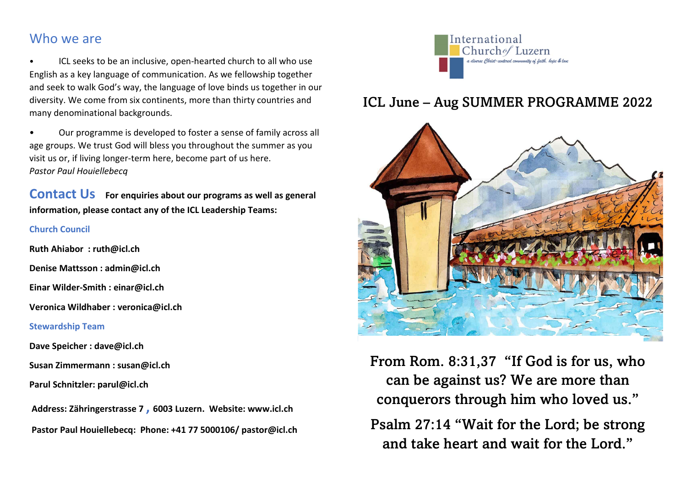## Who we are

• ICL seeks to be an inclusive, open-hearted church to all who use English as a key language of communication. As we fellowship together and seek to walk God's way, the language of love binds us together in our diversity. We come from six continents, more than thirty countries and many denominational backgrounds.

• Our programme is developed to foster a sense of family across all age groups. We trust God will bless you throughout the summer as you visit us or, if living longer-term here, become part of us here. *Pastor Paul Houiellebecq*

**Contact Us** For enquiries about our programs as well as general **information, please contact any of the ICL Leadership Teams:**

## **Church Council**

**Ruth Ahiabor : ruth@icl.ch**

**Denise Mattsson : admin@icl.ch**

**Einar Wilder-Smith : einar@icl.ch**

**Veronica Wildhaber : veronica@icl.ch**

## **Stewardship Team**

**Dave Speicher : dave@icl.ch**

**Susan Zimmermann : susan@icl.ch**

**Parul Schnitzler: parul@icl.ch**

**Address: Zähringerstrasse 7 , 6003 Luzern. Website: www.icl.ch Pastor Paul Houiellebecq: Phone: +41 77 5000106/ pastor@icl.ch**



## ICL June – Aug SUMMER PROGRAMME 2022



From Rom. 8:31,37 "If God is for us, who can be against us? We are more than conquerors through him who loved us."

Psalm 27:14 "Wait for the Lord; be strong and take heart and wait for the Lord."